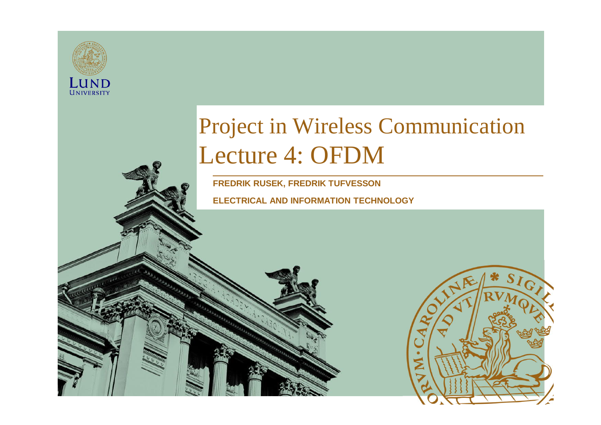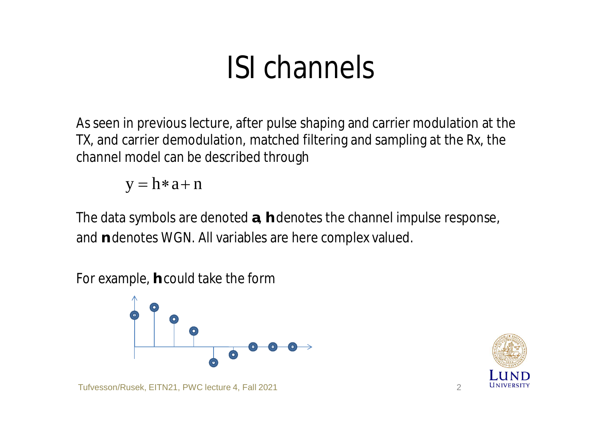### ISI channels

As seen in previous lecture, after pulse shaping and carrier modulation at the TX, and carrier demodulation, matched filtering and sampling at the Rx, the channel model can be described through

 $y = h \cdot a + n$ 

The data symbols are denoted **a**, **h** denotes the channel impulse response, and **n** denotes WGN. All variables are here complex valued.

For example, **h** could take the form



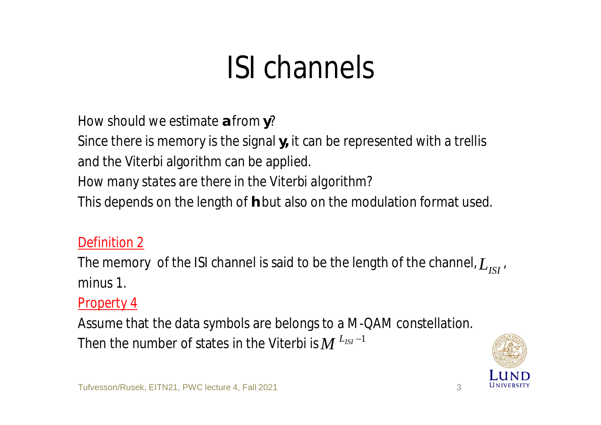## ISI channels

How should we estimate **a** from **y**?

Since there is memory is the signal **y,** it can be represented with a trellis and the Viterbi algorithm can be applied.

*How many states are there in the Viterbi algorithm?*

This depends on the length of **h** but also on the modulation format used.

#### *Definition 2*

The memory of the ISI channel is said to be the length of the channel,  $L$ <sub>*ISI*</sub>, minus 1.

#### *Property 4*

Assume that the data symbols are belongs to a M-QAM constellation. Then the number of states in the Viterbi is  $M$   $^{L_{ISI}-1}$ 

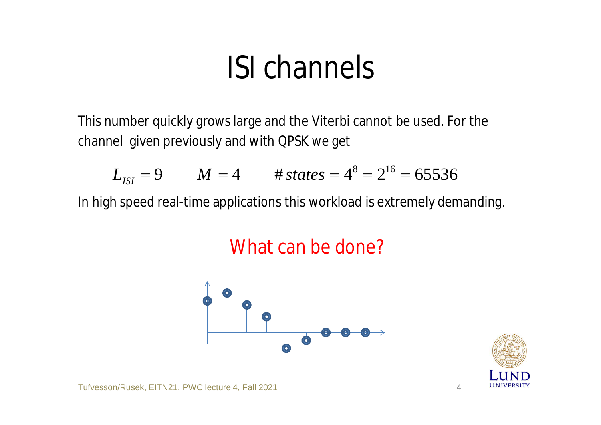### ISI channels

This number quickly grows large and the Viterbi cannot be used. For the channel given previously and with QPSK we get

$$
L_{ISI} = 9
$$
  $M = 4$   $\# states = 4^8 = 2^{16} = 65536$ 

In high speed real-time applications this workload is extremely demanding.

#### What can be done?



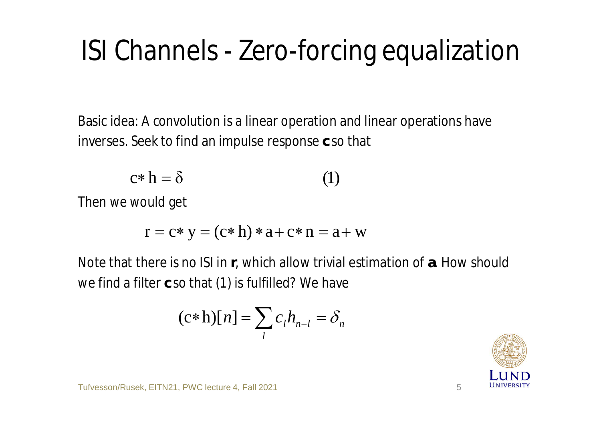#### ISI Channels - Zero-forcing equalization

Basic idea: A convolution is a linear operation and linear operations have inverses. Seek to find an impulse response **c** so that

$$
c * h = \delta \tag{1}
$$

Then we would get

$$
r = c * y = (c * h) * a + c * n = a + w
$$

Note that there is no ISI in **r**, which allow trivial estimation of **a**. How should we find a filter **c** so that (1) is fulfilled? We have

$$
(\mathbf{c} \ast \mathbf{h})[n] = \sum_{l} c_{l} h_{n-l} = \delta_{n}
$$

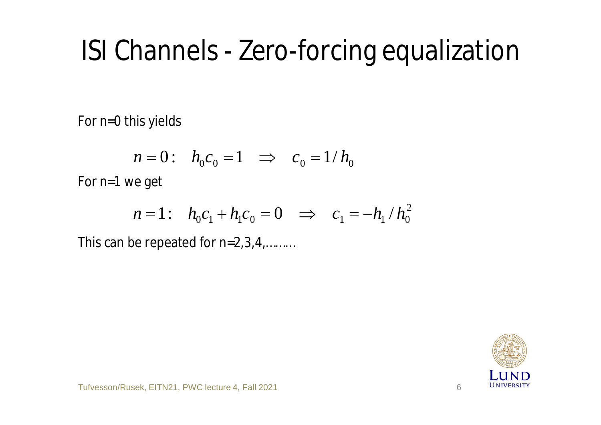#### ISI Channels - Zero-forcing equalization

For *n*=0 this yields

$$
n = 0: \quad h_0 c_0 = 1 \quad \Rightarrow \quad c_0 = 1/h_0
$$

For *n*=1 we get

$$
n = 1: \quad h_0 c_1 + h_1 c_0 = 0 \quad \Rightarrow \quad c_1 = -h_1 / h_0^2
$$

This can be repeated for *n*=2,3,4,………

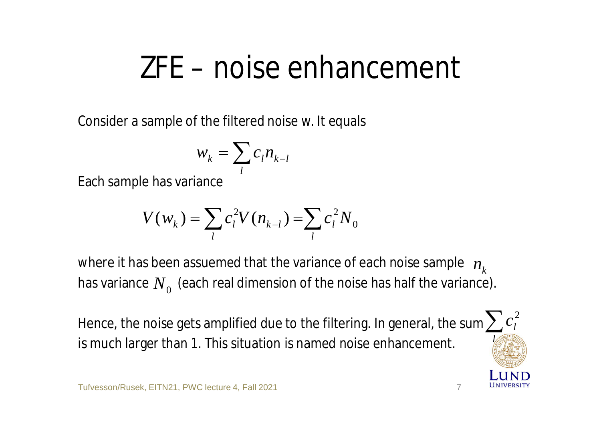#### ZFE – noise enhancement

Consider a sample of the filtered noise w. It equals

$$
w_k = \sum_l c_l n_{k-l}
$$

Each sample has variance

$$
V(w_k) = \sum_l c_l^2 V(n_{k-l}) = \sum_l c_l^2 N_0
$$

where it has been assuemed that the variance of each noise sample  $\ n_{_k}$ has variance  $N_{\rm 0}^{\rm}$  (each real dimension of the noise has half the variance).

Hence, the noise gets amplified due to the filtering. In general, the sum $\sum c_l^{\,2}$ is much larger than 1. This situation is named noise enhancement. *l*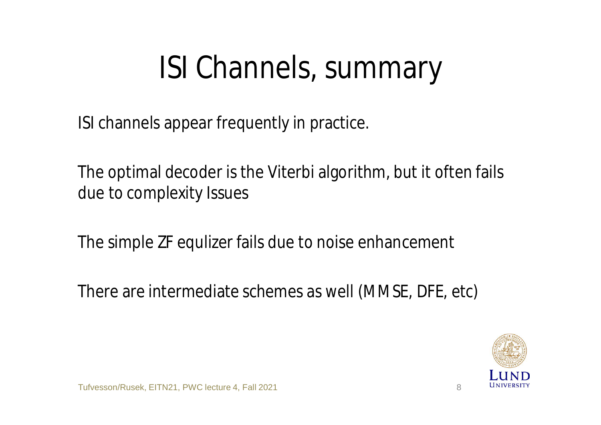## ISI Channels, summary

ISI channels appear frequently in practice.

The optimal decoder is the Viterbi algorithm, but it often fails due to complexity Issues

The simple ZF equlizer fails due to noise enhancement

There are intermediate schemes as well (MMSE, DFE, etc)

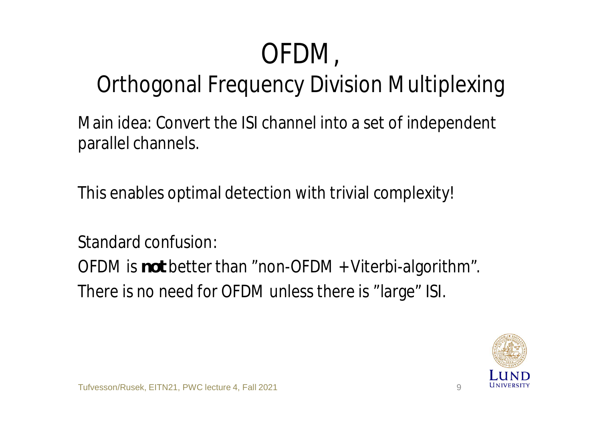## OFDM,

#### Orthogonal Frequency Division Multiplexing

Main idea: Convert the ISI channel into a set of independent parallel channels.

This enables optimal detection with trivial complexity!

Standard confusion:

OFDM is *not* better than "non-OFDM + Viterbi-algorithm". There is no need for OFDM unless there is "large" ISI.

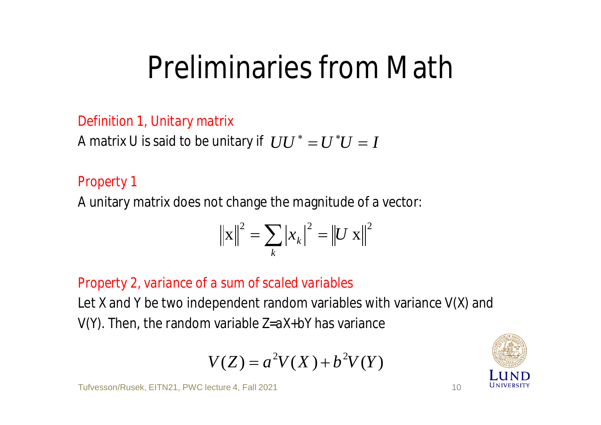### Preliminaries from Math

#### *Definition 1, Unitary matrix*

A matrix U is said to be unitary if  $\left(UU\right)^*=U^*U=I$ 

#### *Property 1*

A unitary matrix does not change the magnitude of a vector:

$$
\|\mathbf{x}\|^2 = \sum_k |x_k|^2 = \|U \mathbf{x}\|^2
$$

#### *Property 2, variance of a sum of scaled variables*

Let *X* and *Y* be two independent random variables with variance *V(X)* and *V(Y).* Then, the random variable *Z=aX+bY* has variance

$$
V(Z) = a^2 V(X) + b^2 V(Y)
$$

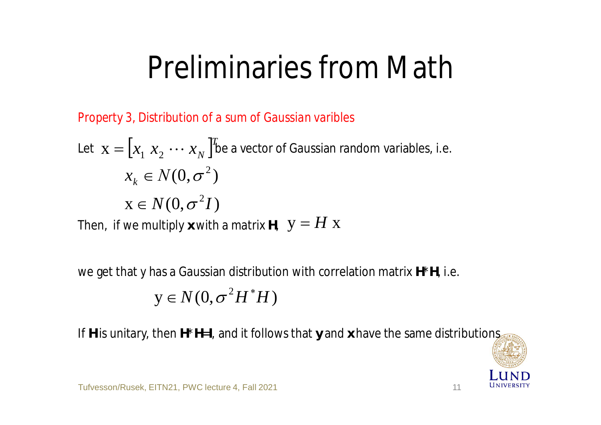### Preliminaries from Math

*Property 3, Distribution of a sum of Gaussian varibles*

Let 
$$
\mathbf{x} = [x_1 \ x_2 \ \cdots \ x_N]^T
$$
 be a vector of Gaussian random variables, i.e.  
\n $x_k \in N(0, \sigma^2)$   
\n $\mathbf{x} \in N(0, \sigma^2 I)$ 

Then, if we multiply x with a matrix H,  $\;\mathbf{y} = \pmb{H}\;\mathbf{x}$ 

we get that *y* has a Gaussian distribution with correlation matrix **H**\***H**, i.e.

$$
y \in N(0, \sigma^2 H^* H)
$$

If **H** is unitary, then **H**\***H**=**I**, and it follows that **y** and **x** have the same distributions

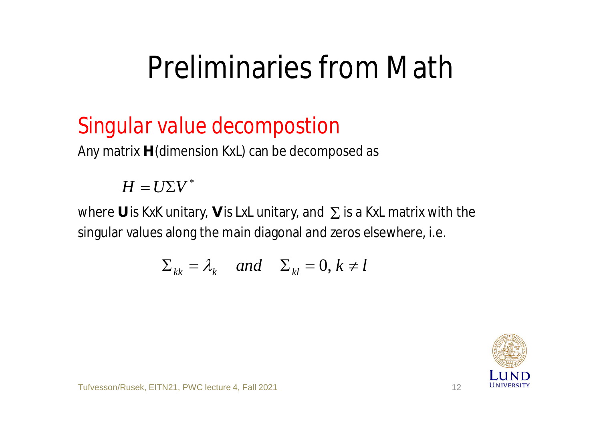### Preliminaries from Math

#### *Singular value decompostion*

Any matrix **H** (dimension *KxL*) can be decomposed as

#### $H = U\Sigma V^*$

where U is KxK unitary, V is LxL unitary, and  $\,\Sigma$  is a KxL matrix with the singular values along the main diagonal and zeros elsewhere, i.e.

$$
\Sigma_{kk} = \lambda_k \quad and \quad \Sigma_{kl} = 0, k \neq l
$$

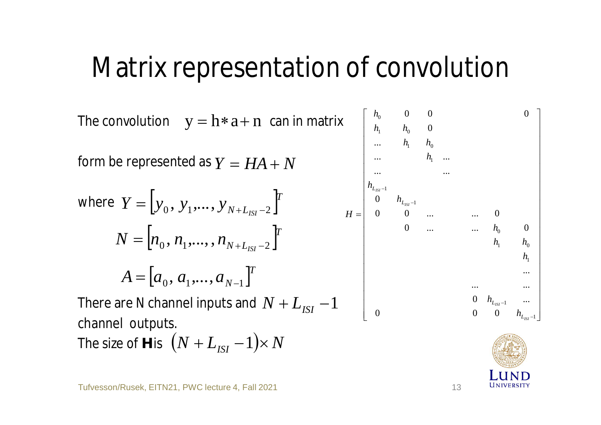#### Matrix representation of convolution

The convolution can in matrix form be represented as where There are *N* channel inputs and channel outputs. The size of **H** is y = h\*a+ n *Y* = *HA* + *N* [ ] *T N LISI Y y y y* <sup>0</sup> <sup>1</sup> <sup>2</sup> , ,..., = + ú ú ú ú ú ú ú ú ú ú ú ú ú ú ú ú ú ú ú ú ú ú û ù ê ê ê ê ê ê ê ê ê ê ê ê ê ê ê ê ê ê ê ê ê ê ë é = - - - - 1 1 1 1 0 0 1 1 1 1 0 1 0 0 0 0 0 0 ... ... ... ... 0 ... ... 0 0 0 ... ... 0 0 ... ... ... ... ... 0 0 0 0 *ISI ISI ISI ISI L L L L h h h h h h h h h h h h h h H* [ ] *T N LISI N n n n* <sup>0</sup> <sup>1</sup> <sup>2</sup> , ,...,, = + - [ ] *T A a*<sup>0</sup> *a*<sup>1</sup> *a<sup>N</sup>* <sup>1</sup> , ,..., = - *N* + *LISI* -1 (*N* + *LISI* -1)´ *N*

UNIVERSITY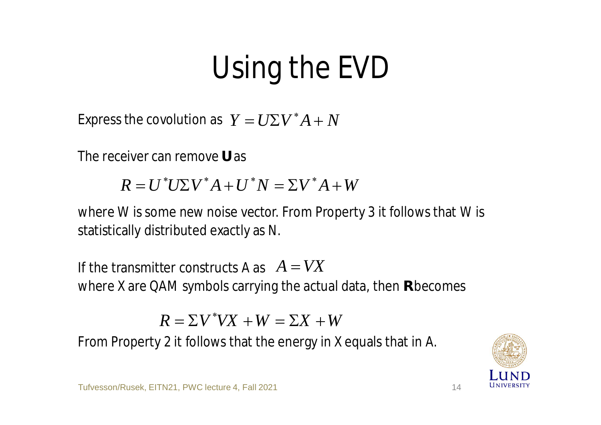## Using the EVD

Express the covolution as  $Y = U\Sigma V^*A + N$ 

The receiver can remove **U** as

 $R = U^* U \Sigma V^* A + U^* N = \Sigma V^* A + W$ 

where *W* is some new noise vector. From Property 3 it follows that *W* is statistically distributed exactly as *N*.

If the transmitter constructs A as  $A = VX$ where *X* are QAM symbols carrying the actual data, then **R** becomes

 $R = \Sigma V^* V X + W = \Sigma X + W$ 

From Property 2 it follows that the energy in *X* equals that in *A*.

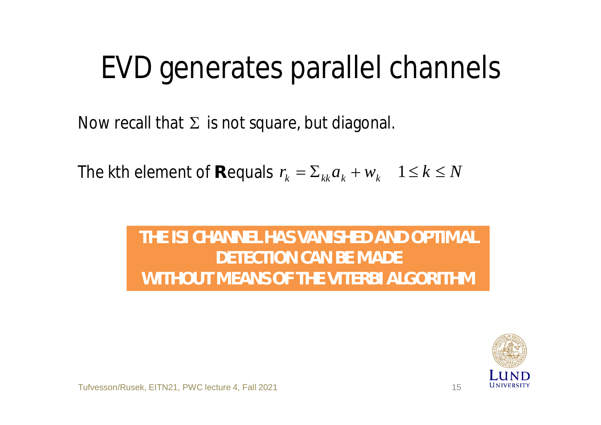### EVD generates parallel channels

Now recall that  $\Sigma$  is not square, but diagonal.

The kth element of R equals  $r_k = \sum_{kk} a_k + w_k$   $1 \le k \le N$ 

#### **THE ISI CHANNEL HAS VANISHED AND OPTIMAL DETECTION CAN BE MADE WITHOUT MEANS OF THE VITERBI ALGORITHM**

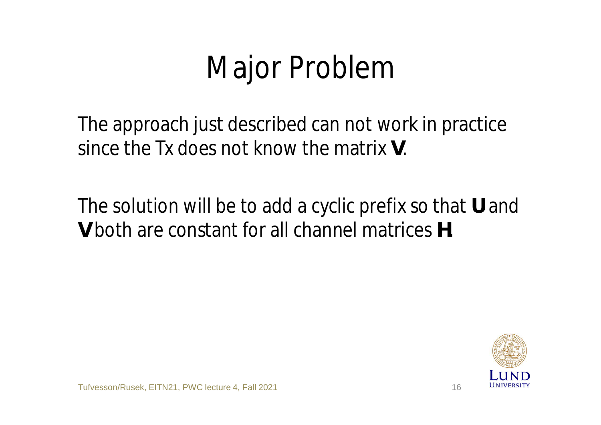## Major Problem

The approach just described can not work in practice since the Tx does not know the matrix **V**.

The solution will be to add a cyclic prefix so that **U** and **V** both are constant for all channel matrices **H**.

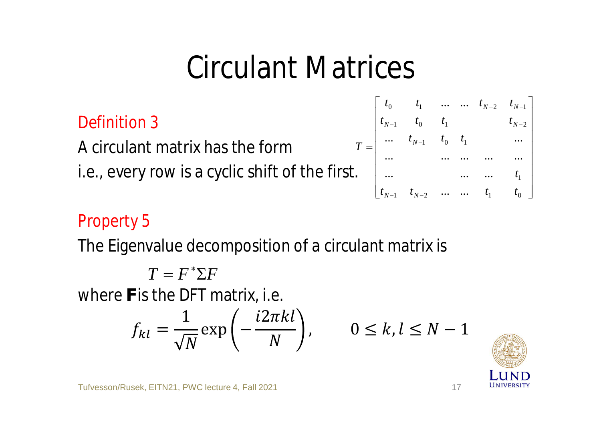#### Circulant Matrices

*T*

*Definition 3*

A circulant matrix has the form i.e., every row is a cyclic shift of the first.

$$
= \begin{bmatrix} t_0 & t_1 & \dots & \dots & t_{N-2} & t_{N-1} \\ t_{N-1} & t_0 & t_1 & & & t_{N-2} \\ \dots & t_{N-1} & t_0 & t_1 & & \dots \\ \dots & \dots & \dots & \dots & \dots \\ \dots & \dots & \dots & \dots & t_1 \\ t_{N-1} & t_{N-2} & \dots & \dots & t_1 & t_0 \end{bmatrix}
$$

#### *Property 5*

The Eigenvalue decomposition of a circulant matrix is

where **F** is the DFT matrix, i.e.  $T = F^* \Sigma F$ 

$$
f_{kl} = \frac{1}{\sqrt{N}} \exp\left(-\frac{i2\pi kl}{N}\right), \qquad 0 \le k, l \le N - 1
$$

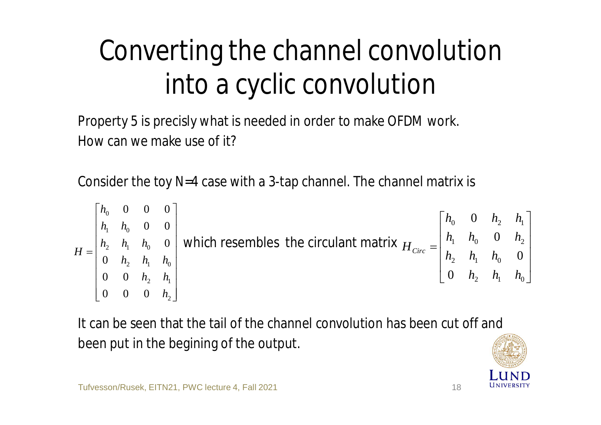### Converting the channel convolution into a cyclic convolution

Property 5 is precisly what is needed in order to make OFDM work. How can we make use of it?

Consider the toy *N*=4 case with a 3-tap channel. The channel matrix is

$$
H = \begin{bmatrix} h_0 & 0 & 0 & 0 \\ h_1 & h_0 & 0 & 0 \\ 0 & h_2 & h_1 & h_0 \\ 0 & 0 & h_2 & h_1 \\ 0 & 0 & 0 & h_2 \end{bmatrix}
$$
 which resembles the circular matrix  $H_{\text{circ}} = \begin{bmatrix} h_0 & 0 & h_2 & h_1 \\ h_1 & h_0 & 0 & h_2 \\ h_2 & h_1 & h_0 & 0 \\ 0 & h_2 & h_1 & h_0 \end{bmatrix}$ 

It can be seen that the tail of the channel convolution has been cut off and been put in the begining of the output.

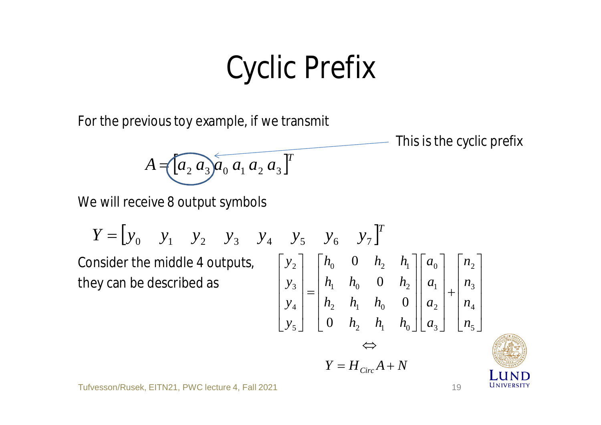### Cyclic Prefix

For the previous toy example, if we transmit

This is the cyclic prefix

$$
A = [a_2 a_3 a_0 a_1 a_2 a_3]^T
$$

We will receive 8 output symbols

Consider the middle 4 outputs, they can be described as  $Y = \begin{bmatrix} y_0 & y_1 & y_2 & y_3 & y_4 & y_5 & y_6 & y_7 \end{bmatrix}^T$ *n n n n a a a a*  $h_2$  *h*<sub>1</sub> *h*<sub>1</sub>  $h_2$   $h_1$   $h_2$  $h_1$   $h_0$  0  $h$  $h_0$  0  $h_2$  *h y y y y*  $\Leftrightarrow$ ú ú ú ú û ù  $\vert$  $\overline{\phantom{a}}$  $\overline{\phantom{a}}$  $\overline{\phantom{a}}$  $\lfloor$  $\mathbf{r}$ + ú ú ú ú  $\rfloor$ ù  $\overline{\phantom{a}}$  $\overline{\phantom{a}}$  $\overline{\phantom{a}}$  $\overline{\phantom{a}}$  $\lfloor$  $\mathbf{r}$ ú ú ú ú û ù ê ê ê ê  $\lfloor$  $\mathbf{r}$ = ú ú ú ú û ù ê ê ê ê  $\lfloor$  $\mathbf{r}$ 5 4 3 2 3 2 1 0 2  $\binom{n_1}{1}$   $\binom{n_0}{0}$ 2  $\frac{1}{1}$   $\frac{1}{0}$ 1  $n_0$  0  $n_2$ 0  $v_1$   $v_2$   $v_1$ 5 4 3 2 0 0 0 0

 $Y = H_{Circ}A + N$ 

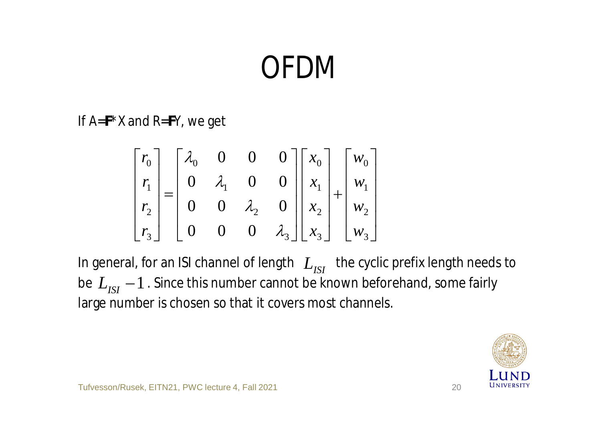## OFDM

If *A*=**F**\**X* and *R*=**F***Y*, we get

$$
\begin{bmatrix} r_0 \\ r_1 \\ r_2 \\ r_3 \end{bmatrix} = \begin{bmatrix} \lambda_0 & 0 & 0 & 0 \\ 0 & \lambda_1 & 0 & 0 \\ 0 & 0 & \lambda_2 & 0 \\ 0 & 0 & 0 & \lambda_3 \end{bmatrix} \begin{bmatrix} x_0 \\ x_1 \\ x_2 \\ x_3 \end{bmatrix} + \begin{bmatrix} w_0 \\ w_1 \\ w_2 \\ w_3 \end{bmatrix}
$$

In general, for an ISI channel of length  $|L_{ISI}|$  the cyclic prefix length needs to be  $L_{\rm{ISI}}-1$  . Since this number cannot be known beforehand, some fairly large number is chosen so that it covers most channels.

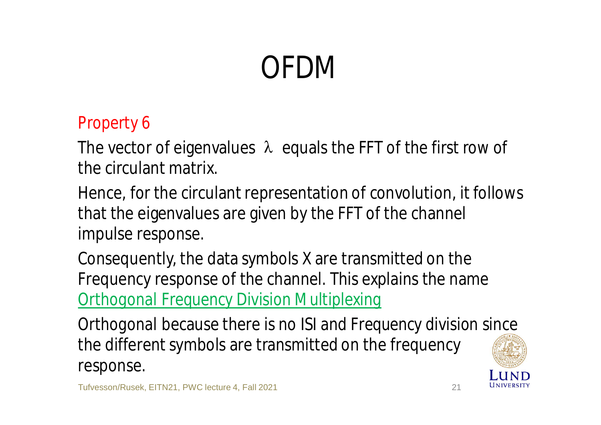## OFDM

#### *Property 6*

The vector of eigenvalues  $\lambda$  equals the FFT of the first row of the circulant matrix.

Hence, for the circulant representation of convolution, it follows that the eigenvalues are given by the FFT of the channel impulse response.

Consequently, the data symbols *X* are transmitted on the Frequency response of the channel. This explains the name *Orthogonal Frequency Division Multiplexing*

*Orthogonal* because there is no ISI and *Frequency division* since the different symbols are transmitted on the frequency response.

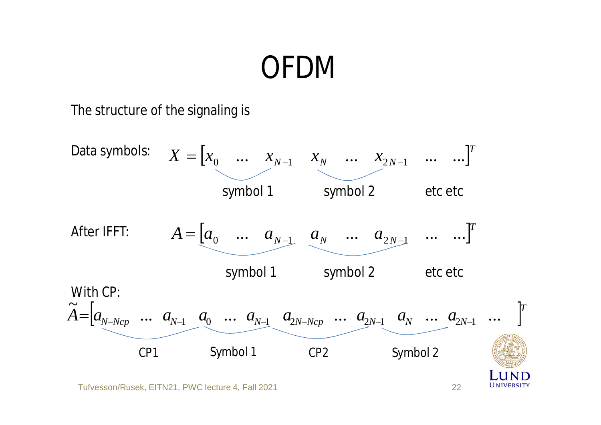#### OFDM

The structure of the signaling is

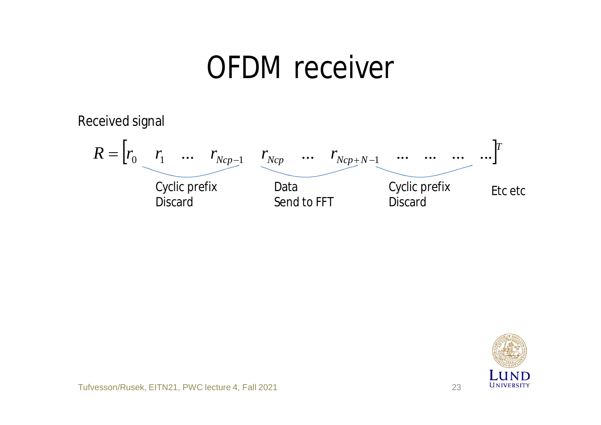#### OFDM receiver

Received signal



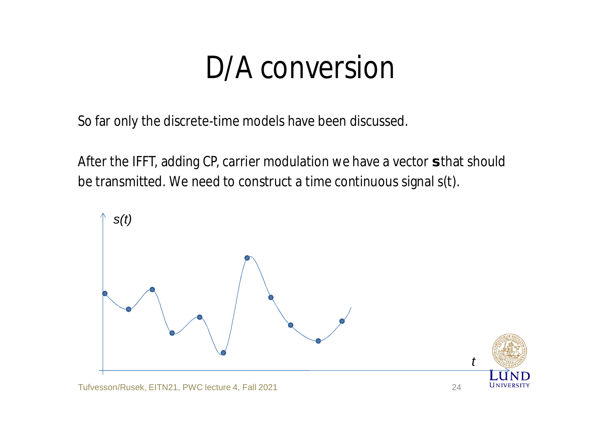### D/A conversion

So far only the discrete-time models have been discussed.

After the IFFT, adding CP, carrier modulation we have a vector **s** that should be transmitted. We need to construct a time continuous signal *s*(*t*).

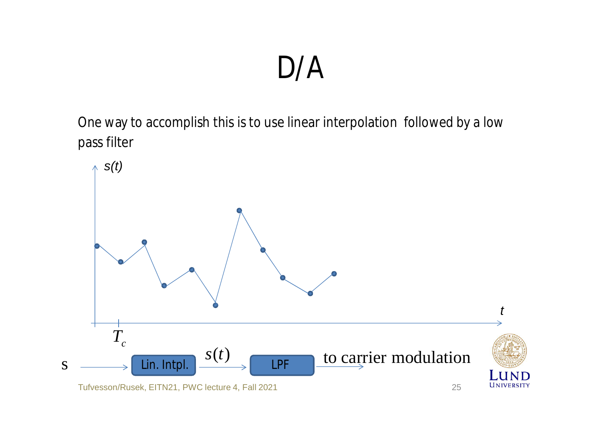#### D/A

One way to accomplish this is to use linear interpolation followed by a low pass filter

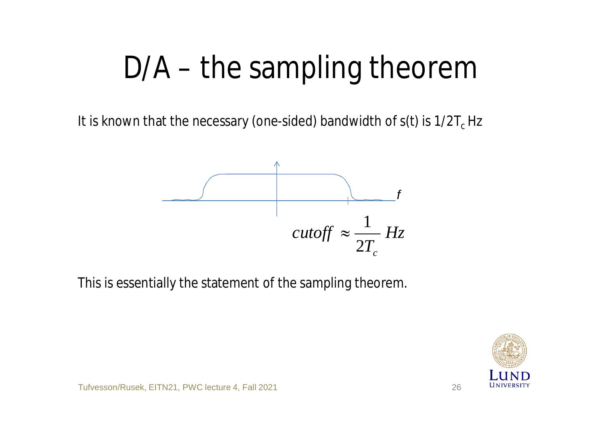## D/A – the sampling theorem

It is known that the necessary (one-sided) bandwidth of  $s(t)$  is  $1/2T_c$  Hz



This is essentially the statement of the sampling theorem.

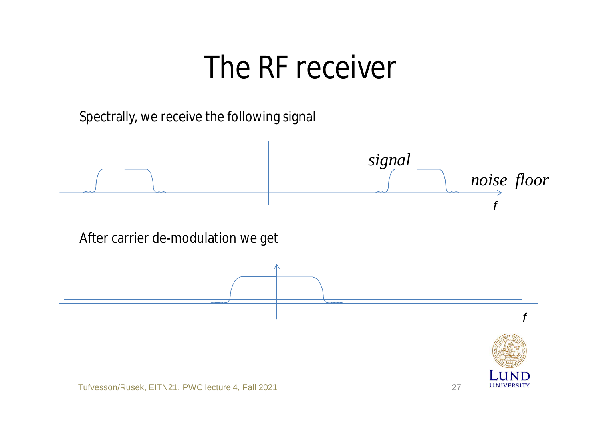#### The RF receiver

Spectrally, we receive the following signal

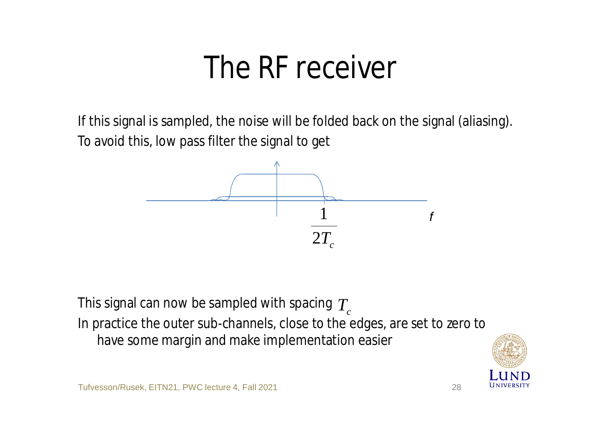### The RF receiver

If this signal is sampled, the noise will be folded back on the signal (aliasing). To avoid this, low pass filter the signal to get



This signal can now be sampled with spacing  $\, T_{c}^{}$ In practice the outer sub-channels, close to the edges, are set to zero to have some margin and make implementation easier